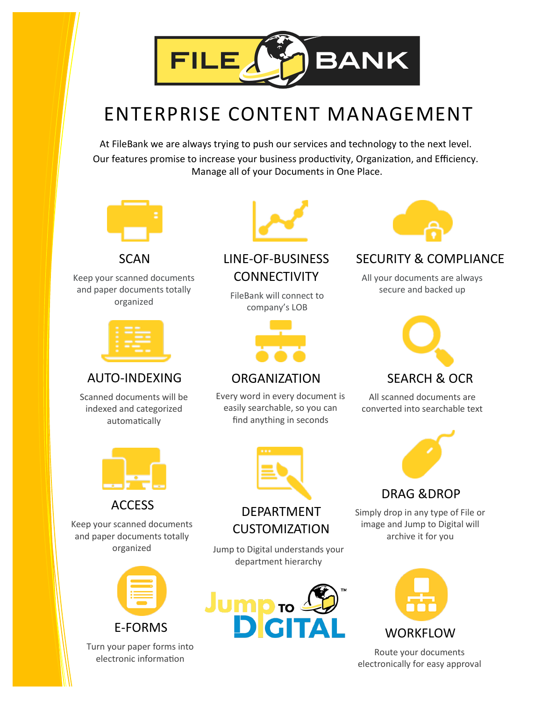

### ENTERPRISE CONTENT MANAGEMENT

At FileBank we are always trying to push our services and technology to the next level. Our features promise to increase your business productivity, Organization, and Efficiency. Manage all of your Documents in One Place.



Keep your scanned documents and paper documents totally



### AUTO-INDEXING ORGANIZATION SEARCH & OCR

Scanned documents will be indexed and categorized automatically



Keep your scanned documents and paper documents totally



Turn your paper forms into electronic information



#### SCAN LINE-OF-BUSINESS **CONNECTIVITY**

reductions to tally extended FileBank will connect to organized company's LOB



Every word in every document is easily searchable, so you can find anything in seconds



### SECURITY & COMPLIANCE

All your documents are always secure and backed up



#### All scanned documents are converted into searchable text



#### DRAG &DROP

Simply drop in any type of File or image and Jump to Digital will archive it for you



Route your documents electronically for easy approval



### ACCESS DEPARTMENT CUSTOMIZATION

organized Jump to Digital understands your department hierarchy

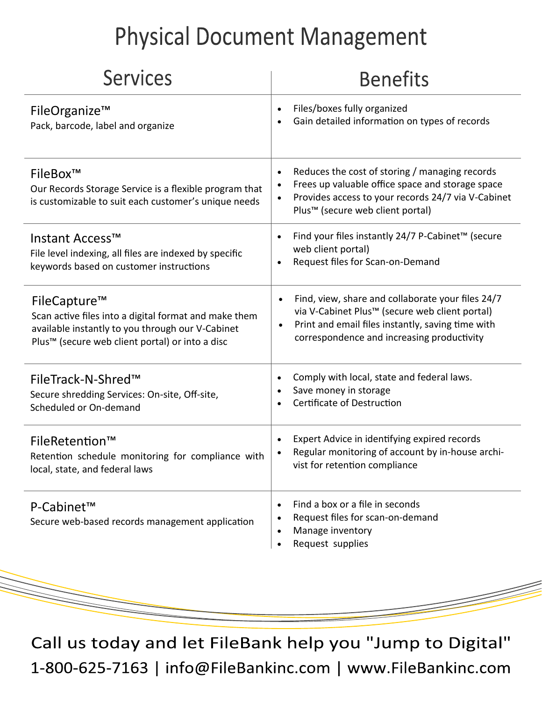## **Physical Document Management**

| <b>Services</b>                                                                                                                                                                          | <b>Benefits</b>                                                                                                                                                                                                                  |
|------------------------------------------------------------------------------------------------------------------------------------------------------------------------------------------|----------------------------------------------------------------------------------------------------------------------------------------------------------------------------------------------------------------------------------|
| FileOrganize™<br>Pack, barcode, label and organize                                                                                                                                       | Files/boxes fully organized<br>$\bullet$<br>Gain detailed information on types of records                                                                                                                                        |
| FileBox™<br>Our Records Storage Service is a flexible program that<br>is customizable to suit each customer's unique needs                                                               | Reduces the cost of storing / managing records<br>$\bullet$<br>Frees up valuable office space and storage space<br>Provides access to your records 24/7 via V-Cabinet<br>Plus <sup>™</sup> (secure web client portal)            |
| Instant Access™<br>File level indexing, all files are indexed by specific<br>keywords based on customer instructions                                                                     | Find your files instantly 24/7 P-Cabinet™ (secure<br>$\bullet$<br>web client portal)<br>Request files for Scan-on-Demand<br>$\bullet$                                                                                            |
| FileCapture™<br>Scan active files into a digital format and make them<br>available instantly to you through our V-Cabinet<br>Plus <sup>™</sup> (secure web client portal) or into a disc | Find, view, share and collaborate your files 24/7<br>$\bullet$<br>via V-Cabinet Plus™ (secure web client portal)<br>Print and email files instantly, saving time with<br>$\bullet$<br>correspondence and increasing productivity |
| FileTrack-N-Shred™<br>Secure shredding Services: On-site, Off-site,<br>Scheduled or On-demand                                                                                            | Comply with local, state and federal laws.<br>$\bullet$<br>Save money in storage<br>$\bullet$<br>Certificate of Destruction                                                                                                      |
| FileRetention™<br>Retention schedule monitoring for compliance with<br>local, state, and federal laws                                                                                    | Expert Advice in identifying expired records<br>Regular monitoring of account by in-house archi-<br>vist for retention compliance                                                                                                |
| P-Cabinet <sup>™</sup><br>Secure web-based records management application                                                                                                                | Find a box or a file in seconds<br>$\bullet$<br>Request files for scan-on-demand<br>$\bullet$<br>Manage inventory<br>Request supplies                                                                                            |

Call us today and let FileBank help you "Jump to Digital" 1-800-625-7163 | info@FileBankinc.com | www.FileBankinc.com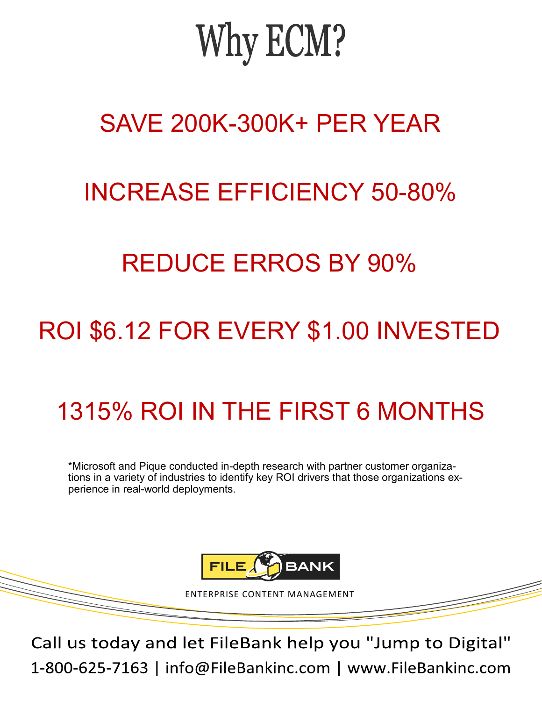# Why ECM?

### SAVE 200K-300K+ PER YEAR

### INCREASE EFFICIENCY 50-80%

### REDUCE ERROS BY 90%

## ROI \$6.12 FOR EVERY \$1.00 INVESTED

## 1315% ROI IN THE FIRST 6 MONTHS

\*Microsoft and Pique conducted in-depth research with partner customer organizations in a variety of industries to identify key ROI drivers that those organizations experience in real-world deployments.



ENTERPRISE CONTENT MANAGEMENT

Call us today and let FileBank help you "Jump to Digital" 1-800-625-7163 | info@FileBankinc.com | www.FileBankinc.com